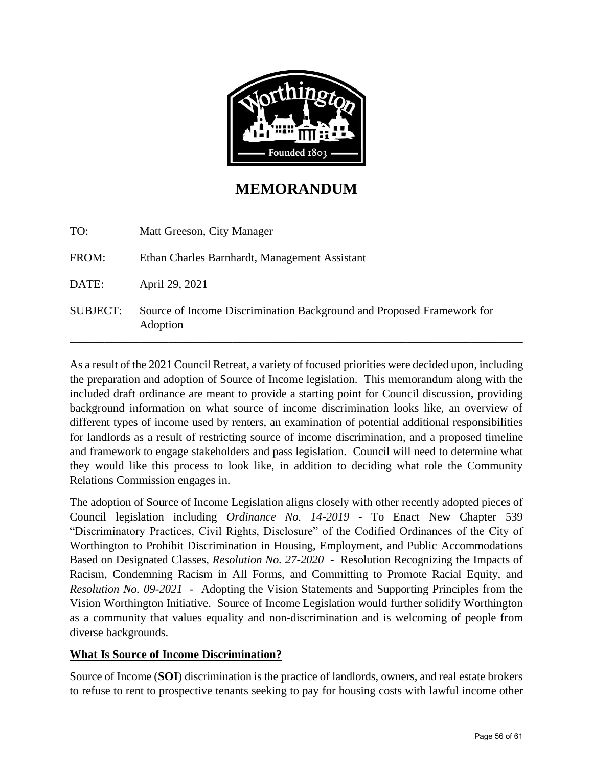

# **MEMORANDUM**

| TO:             | Matt Greeson, City Manager                                                        |
|-----------------|-----------------------------------------------------------------------------------|
| FROM:           | Ethan Charles Barnhardt, Management Assistant                                     |
| DATE:           | April 29, 2021                                                                    |
| <b>SUBJECT:</b> | Source of Income Discrimination Background and Proposed Framework for<br>Adoption |

As a result of the 2021 Council Retreat, a variety of focused priorities were decided upon, including the preparation and adoption of Source of Income legislation. This memorandum along with the included draft ordinance are meant to provide a starting point for Council discussion, providing background information on what source of income discrimination looks like, an overview of different types of income used by renters, an examination of potential additional responsibilities for landlords as a result of restricting source of income discrimination, and a proposed timeline and framework to engage stakeholders and pass legislation. Council will need to determine what they would like this process to look like, in addition to deciding what role the Community Relations Commission engages in.

The adoption of Source of Income Legislation aligns closely with other recently adopted pieces of Council legislation including *Ordinance No. 14-2019* - To Enact New Chapter 539 "Discriminatory Practices, Civil Rights, Disclosure" of the Codified Ordinances of the City of Worthington to Prohibit Discrimination in Housing, Employment, and Public Accommodations Based on Designated Classes, *Resolution No. 27-2020* - Resolution Recognizing the Impacts of Racism, Condemning Racism in All Forms, and Committing to Promote Racial Equity, and *Resolution No. 09-2021* - Adopting the Vision Statements and Supporting Principles from the Vision Worthington Initiative. Source of Income Legislation would further solidify Worthington as a community that values equality and non-discrimination and is welcoming of people from diverse backgrounds.

# **What Is Source of Income Discrimination?**

Source of Income (**SOI**) discrimination is the practice of landlords, owners, and real estate brokers to refuse to rent to prospective tenants seeking to pay for housing costs with lawful income other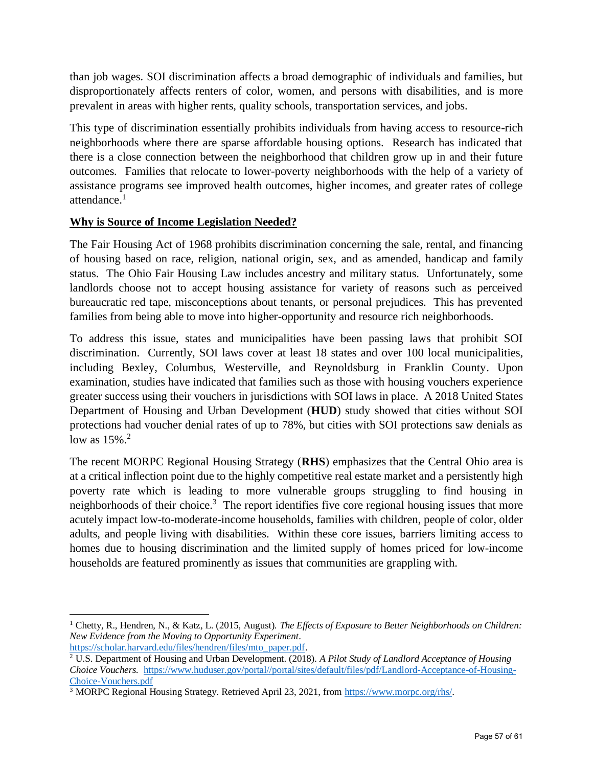than job wages. SOI discrimination affects a broad demographic of individuals and families, but disproportionately affects renters of color, women, and persons with disabilities, and is more prevalent in areas with higher rents, quality schools, transportation services, and jobs.

This type of discrimination essentially prohibits individuals from having access to resource-rich neighborhoods where there are sparse affordable housing options. Research has indicated that there is a close connection between the neighborhood that children grow up in and their future outcomes. Families that relocate to lower-poverty neighborhoods with the help of a variety of assistance programs see improved health outcomes, higher incomes, and greater rates of college attendance. 1

# **Why is Source of Income Legislation Needed?**

The Fair Housing Act of 1968 prohibits discrimination concerning the sale, rental, and financing of housing based on race, religion, national origin, sex, and as amended, handicap and family status. The Ohio Fair Housing Law includes ancestry and military status. Unfortunately, some landlords choose not to accept housing assistance for variety of reasons such as perceived bureaucratic red tape, misconceptions about tenants, or personal prejudices. This has prevented families from being able to move into higher-opportunity and resource rich neighborhoods.

To address this issue, states and municipalities have been passing laws that prohibit SOI discrimination. Currently, SOI laws cover at least 18 states and over 100 local municipalities, including Bexley, Columbus, Westerville, and Reynoldsburg in Franklin County. Upon examination, studies have indicated that families such as those with housing vouchers experience greater success using their vouchers in jurisdictions with SOI laws in place. A 2018 United States Department of Housing and Urban Development (**HUD**) study showed that cities without SOI protections had voucher denial rates of up to 78%, but cities with SOI protections saw denials as low as  $15\%$ <sup>2</sup>

The recent MORPC Regional Housing Strategy (**RHS**) emphasizes that the Central Ohio area is at a critical inflection point due to the highly competitive real estate market and a persistently high poverty rate which is leading to more vulnerable groups struggling to find housing in neighborhoods of their choice.<sup>3</sup> The report identifies five core regional housing issues that more acutely impact low-to-moderate-income households, families with children, people of color, older adults, and people living with disabilities. Within these core issues, barriers limiting access to homes due to housing discrimination and the limited supply of homes priced for low-income households are featured prominently as issues that communities are grappling with.

<sup>1</sup> Chetty, R., Hendren, N., & Katz, L. (2015, August). *The Effects of Exposure to Better Neighborhoods on Children: New Evidence from the Moving to Opportunity Experiment*. https://scholar.harvard.edu/files/hendren/files/mto\_paper.pdf.

<sup>2</sup> U.S. Department of Housing and Urban Development. (2018). *A Pilot Study of Landlord Acceptance of Housing Choice Vouchers.* https://www.huduser.gov/portal//portal/sites/default/files/pdf/Landlord-Acceptance-of-Housing-Choice-Vouchers.pdf

<sup>3</sup> MORPC Regional Housing Strategy. Retrieved April 23, 2021, from https://www.morpc.org/rhs/.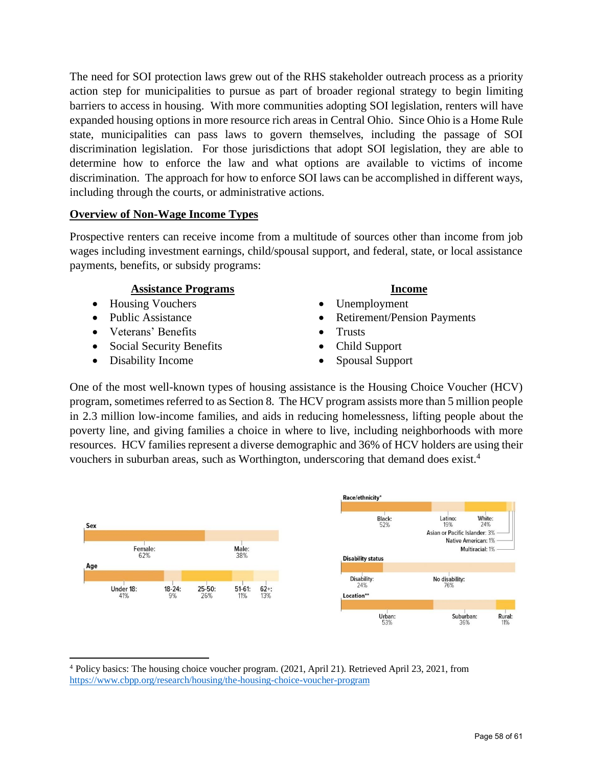The need for SOI protection laws grew out of the RHS stakeholder outreach process as a priority action step for municipalities to pursue as part of broader regional strategy to begin limiting barriers to access in housing. With more communities adopting SOI legislation, renters will have expanded housing options in more resource rich areas in Central Ohio. Since Ohio is a Home Rule state, municipalities can pass laws to govern themselves, including the passage of SOI discrimination legislation. For those jurisdictions that adopt SOI legislation, they are able to determine how to enforce the law and what options are available to victims of income discrimination. The approach for how to enforce SOI laws can be accomplished in different ways, including through the courts, or administrative actions.

## **Overview of Non-Wage Income Types**

Prospective renters can receive income from a multitude of sources other than income from job wages including investment earnings, child/spousal support, and federal, state, or local assistance payments, benefits, or subsidy programs:

## **Assistance Programs**

- Housing Vouchers
- Public Assistance
- Veterans' Benefits
- Social Security Benefits
- Disability Income

# **Income**

- Unemployment
- Retirement/Pension Payments
- Trusts
- Child Support
- Spousal Support

One of the most well-known types of housing assistance is the Housing Choice Voucher (HCV) program, sometimes referred to as Section 8. The HCV program assists more than 5 million people in 2.3 million low-income families, and aids in reducing homelessness, lifting people about the poverty line, and giving families a choice in where to live, including neighborhoods with more resources. HCV families represent a diverse demographic and 36% of HCV holders are using their vouchers in suburban areas, such as Worthington, underscoring that demand does exist.<sup>4</sup>



<sup>4</sup> Policy basics: The housing choice voucher program. (2021, April 21). Retrieved April 23, 2021, from https://www.cbpp.org/research/housing/the-housing-choice-voucher-program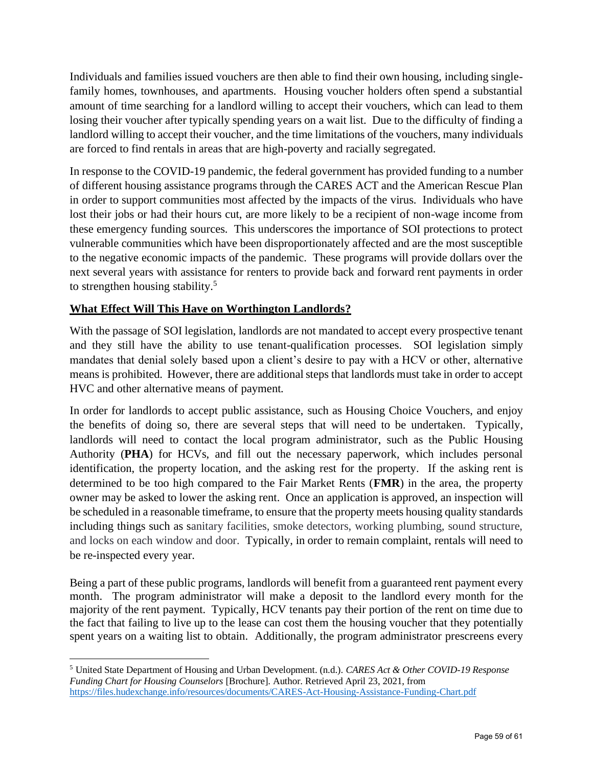Individuals and families issued vouchers are then able to find their own housing, including singlefamily homes, townhouses, and apartments. Housing voucher holders often spend a substantial amount of time searching for a landlord willing to accept their vouchers, which can lead to them losing their voucher after typically spending years on a wait list. Due to the difficulty of finding a landlord willing to accept their voucher, and the time limitations of the vouchers, many individuals are forced to find rentals in areas that are high-poverty and racially segregated.

In response to the COVID-19 pandemic, the federal government has provided funding to a number of different housing assistance programs through the CARES ACT and the American Rescue Plan in order to support communities most affected by the impacts of the virus. Individuals who have lost their jobs or had their hours cut, are more likely to be a recipient of non-wage income from these emergency funding sources. This underscores the importance of SOI protections to protect vulnerable communities which have been disproportionately affected and are the most susceptible to the negative economic impacts of the pandemic. These programs will provide dollars over the next several years with assistance for renters to provide back and forward rent payments in order to strengthen housing stability.<sup>5</sup>

# **What Effect Will This Have on Worthington Landlords?**

With the passage of SOI legislation, landlords are not mandated to accept every prospective tenant and they still have the ability to use tenant-qualification processes. SOI legislation simply mandates that denial solely based upon a client's desire to pay with a HCV or other, alternative means is prohibited. However, there are additional steps that landlords must take in order to accept HVC and other alternative means of payment.

In order for landlords to accept public assistance, such as Housing Choice Vouchers, and enjoy the benefits of doing so, there are several steps that will need to be undertaken. Typically, landlords will need to contact the local program administrator, such as the Public Housing Authority (**PHA**) for HCVs, and fill out the necessary paperwork, which includes personal identification, the property location, and the asking rest for the property. If the asking rent is determined to be too high compared to the Fair Market Rents (**FMR**) in the area, the property owner may be asked to lower the asking rent. Once an application is approved, an inspection will be scheduled in a reasonable timeframe, to ensure that the property meets housing quality standards including things such as sanitary facilities, smoke detectors, working plumbing, sound structure, and locks on each window and door. Typically, in order to remain complaint, rentals will need to be re-inspected every year.

Being a part of these public programs, landlords will benefit from a guaranteed rent payment every month. The program administrator will make a deposit to the landlord every month for the majority of the rent payment. Typically, HCV tenants pay their portion of the rent on time due to the fact that failing to live up to the lease can cost them the housing voucher that they potentially spent years on a waiting list to obtain. Additionally, the program administrator prescreens every

<sup>5</sup> United State Department of Housing and Urban Development. (n.d.). *CARES Act & Other COVID-19 Response Funding Chart for Housing Counselors* [Brochure]. Author. Retrieved April 23, 2021, from https://files.hudexchange.info/resources/documents/CARES-Act-Housing-Assistance-Funding-Chart.pdf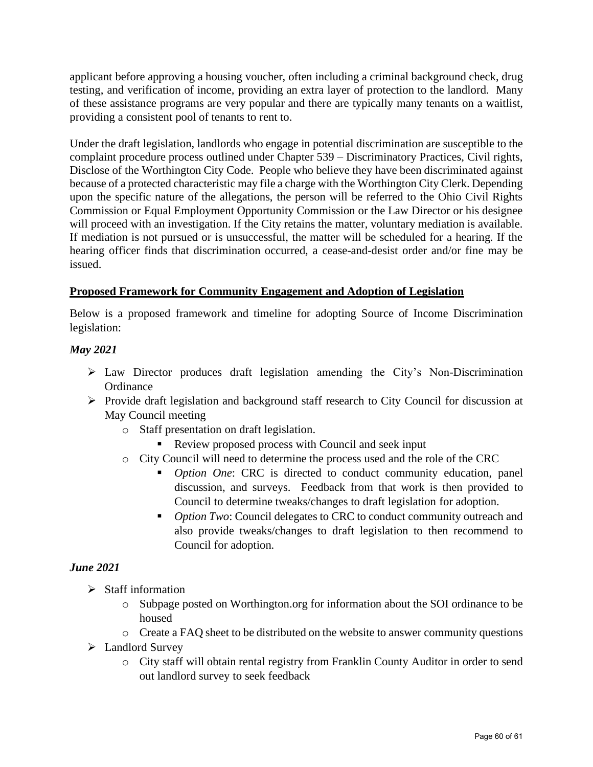applicant before approving a housing voucher, often including a criminal background check, drug testing, and verification of income, providing an extra layer of protection to the landlord. Many of these assistance programs are very popular and there are typically many tenants on a waitlist, providing a consistent pool of tenants to rent to.

Under the draft legislation, landlords who engage in potential discrimination are susceptible to the complaint procedure process outlined under Chapter 539 – Discriminatory Practices, Civil rights, Disclose of the Worthington City Code. People who believe they have been discriminated against because of a protected characteristic may file a charge with the Worthington City Clerk. Depending upon the specific nature of the allegations, the person will be referred to the Ohio Civil Rights Commission or Equal Employment Opportunity Commission or the Law Director or his designee will proceed with an investigation. If the City retains the matter, voluntary mediation is available. If mediation is not pursued or is unsuccessful, the matter will be scheduled for a hearing. If the hearing officer finds that discrimination occurred, a cease-and-desist order and/or fine may be issued.

# **Proposed Framework for Community Engagement and Adoption of Legislation**

Below is a proposed framework and timeline for adopting Source of Income Discrimination legislation:

## *May 2021*

- ➢ Law Director produces draft legislation amending the City's Non-Discrimination Ordinance
- ➢ Provide draft legislation and background staff research to City Council for discussion at May Council meeting
	- o Staff presentation on draft legislation.
		- Review proposed process with Council and seek input
	- o City Council will need to determine the process used and the role of the CRC
		- *Option One*: CRC is directed to conduct community education, panel discussion, and surveys. Feedback from that work is then provided to Council to determine tweaks/changes to draft legislation for adoption.
		- *Option Two*: Council delegates to CRC to conduct community outreach and also provide tweaks/changes to draft legislation to then recommend to Council for adoption.

#### *June 2021*

- ➢ Staff information
	- o Subpage posted on Worthington.org for information about the SOI ordinance to be housed
	- o Create a FAQ sheet to be distributed on the website to answer community questions
- ➢ Landlord Survey
	- o City staff will obtain rental registry from Franklin County Auditor in order to send out landlord survey to seek feedback